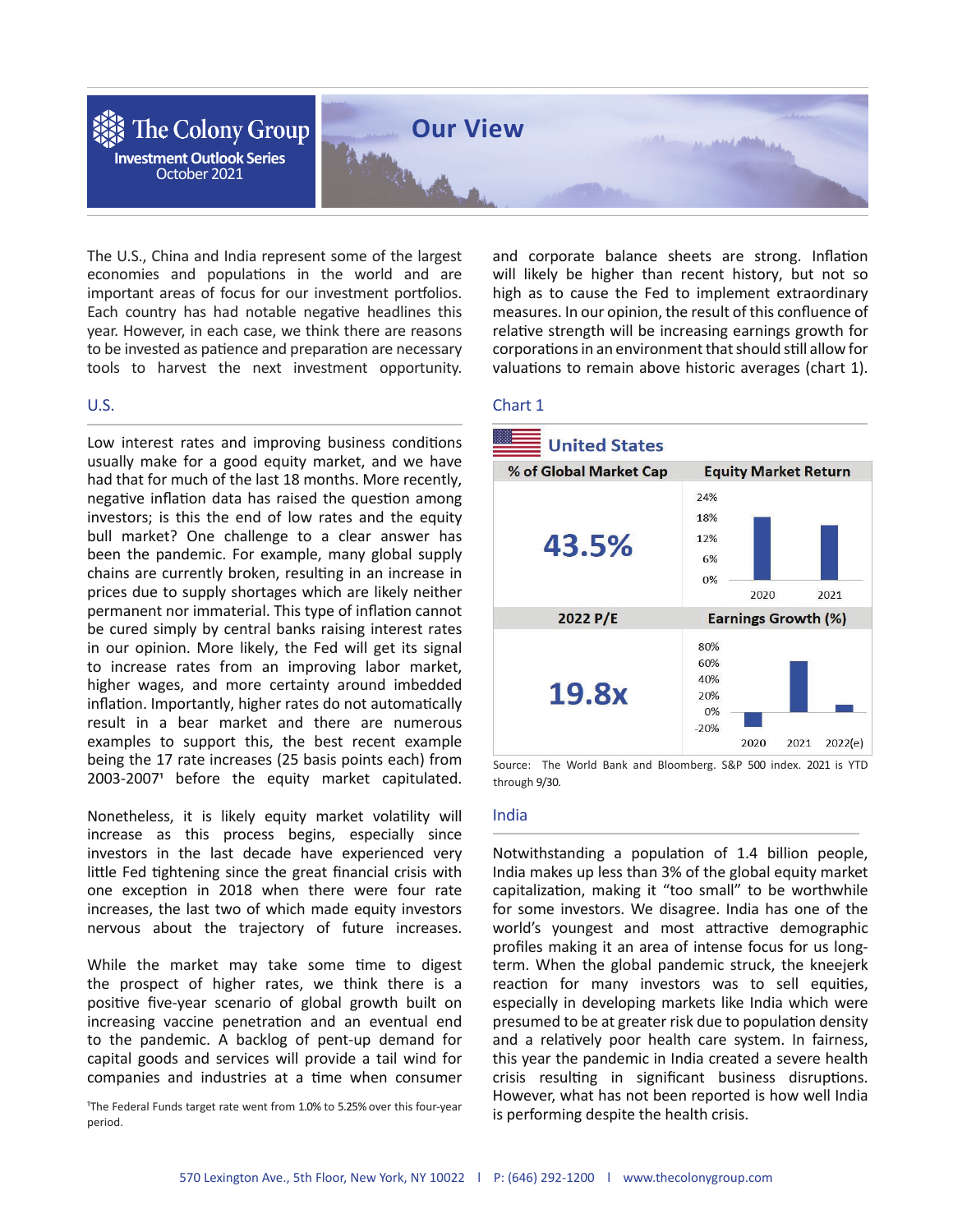

The U.S., China and India represent some of the largest economies and populations in the world and are important areas of focus for our investment portfolios. Each country has had notable negative headlines this year. However, in each case, we think there are reasons to be invested as patience and preparation are necessary tools to harvest the next investment opportunity.

# U.S.

Low interest rates and improving business conditions usually make for a good equity market, and we have had that for much of the last 18 months. More recently, negative inflation data has raised the question among investors; is this the end of low rates and the equity bull market? One challenge to a clear answer has been the pandemic. For example, many global supply chains are currently broken, resulting in an increase in prices due to supply shortages which are likely neither permanent nor immaterial. This type of inflation cannot be cured simply by central banks raising interest rates in our opinion. More likely, the Fed will get its signal to increase rates from an improving labor market, higher wages, and more certainty around imbedded inflation. Importantly, higher rates do not automatically result in a bear market and there are numerous examples to support this, the best recent example being the 17 rate increases (25 basis points each) from 2003-2007<sup>1</sup> before the equity market capitulated.

Nonetheless, it is likely equity market volatility will increase as this process begins, especially since investors in the last decade have experienced very little Fed tightening since the great financial crisis with one exception in 2018 when there were four rate increases, the last two of which made equity investors nervous about the trajectory of future increases.

While the market may take some time to digest the prospect of higher rates, we think there is a positive five-year scenario of global growth built on increasing vaccine penetration and an eventual end to the pandemic. A backlog of pent-up demand for capital goods and services will provide a tail wind for companies and industries at a time when consumer

<sup>1</sup>The Federal Funds target rate went from 1.0% to 5.25% over this four-year period.

and corporate balance sheets are strong. Inflation will likely be higher than recent history, but not so high as to cause the Fed to implement extraordinary measures. In our opinion, the result of this confluence of relative strength will be increasing earnings growth for corporations in an environment that should still allow for valuations to remain above historic averages (chart 1).

#### Chart 1



Source: The World Bank and Bloomberg. S&P 500 index. 2021 is YTD through 9/30.

#### India

Notwithstanding a population of 1.4 billion people, India makes up less than 3% of the global equity market capitalization, making it "too small" to be worthwhile for some investors. We disagree. India has one of the world's youngest and most attractive demographic profiles making it an area of intense focus for us longterm. When the global pandemic struck, the kneejerk reaction for many investors was to sell equities, especially in developing markets like India which were presumed to be at greater risk due to population density and a relatively poor health care system. In fairness, this year the pandemic in India created a severe health crisis resulting in significant business disruptions. However, what has not been reported is how well India is performing despite the health crisis.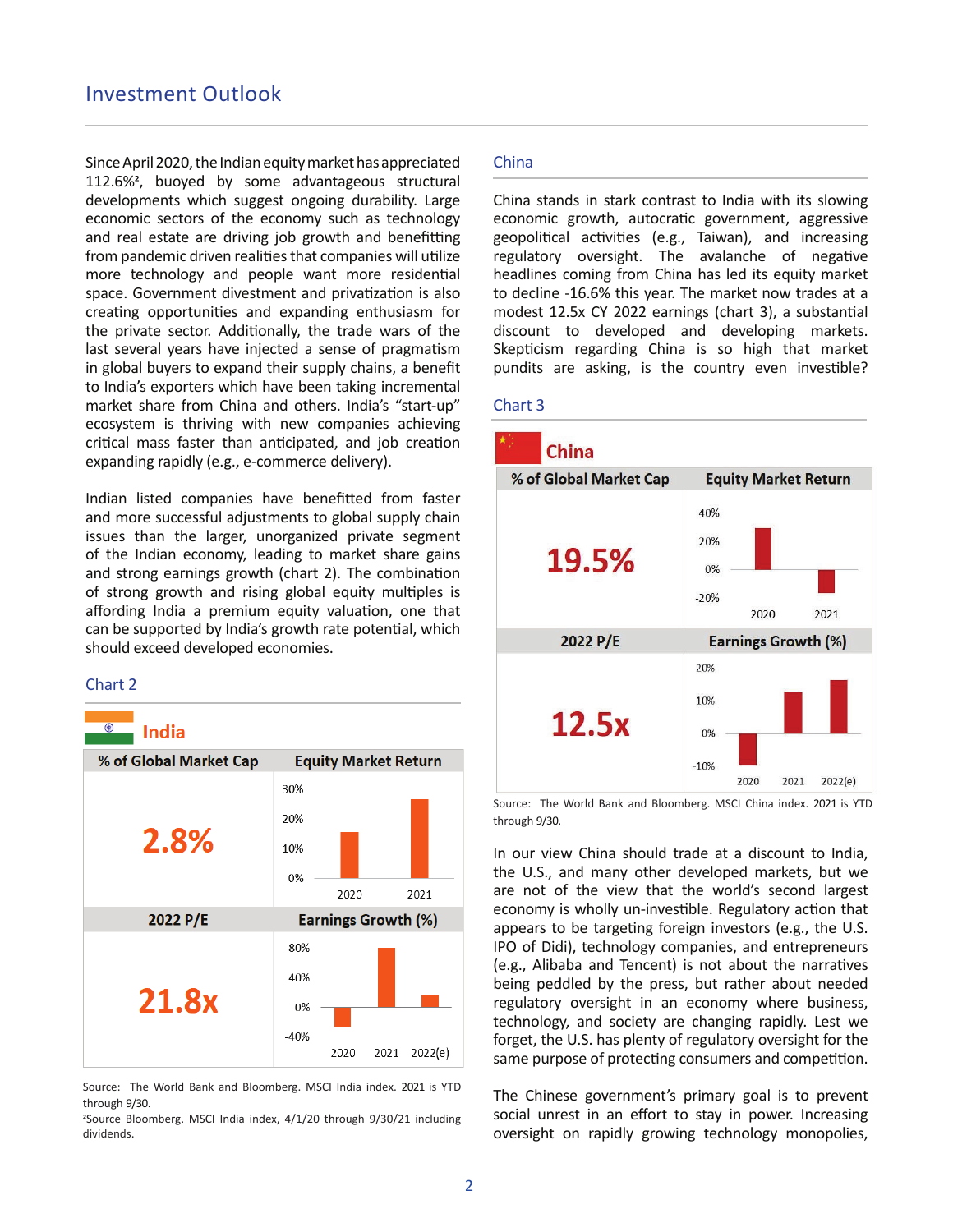Since April 2020, the Indian equity market has appreciated 112.6%<sup>2</sup>, buoyed by some advantageous structural developments which suggest ongoing durability. Large economic sectors of the economy such as technology and real estate are driving job growth and benefitting from pandemic driven realities that companies will utilize more technology and people want more residential space. Government divestment and privatization is also creating opportunities and expanding enthusiasm for the private sector. Additionally, the trade wars of the last several years have injected a sense of pragmatism in global buyers to expand their supply chains, a benefit to India's exporters which have been taking incremental market share from China and others. India's "start-up" ecosystem is thriving with new companies achieving critical mass faster than anticipated, and job creation expanding rapidly (e.g., e-commerce delivery).

Indian listed companies have benefitted from faster and more successful adjustments to global supply chain issues than the larger, unorganized private segment of the Indian economy, leading to market share gains and strong earnings growth (chart 2). The combination of strong growth and rising global equity multiples is affording India a premium equity valuation, one that can be supported by India's growth rate potential, which should exceed developed economies.

### Chart 2

# **India**



Source: The World Bank and Bloomberg. MSCI India index. 2021 is YTD through 9/30.

<sup>2</sup>Source Bloomberg. MSCI India index, 4/1/20 through 9/30/21 including dividends.

# China

China stands in stark contrast to India with its slowing economic growth, autocratic government, aggressive geopolitical activities (e.g., Taiwan), and increasing regulatory oversight. The avalanche of negative headlines coming from China has led its equity market to decline -16.6% this year. The market now trades at a modest 12.5x CY 2022 earnings (chart 3), a substantial discount to developed and developing markets. Skepticism regarding China is so high that market pundits are asking, is the country even investible?

# Chart 3



Source: The World Bank and Bloomberg. MSCI China index. 2021 is YTD through 9/30.

In our view China should trade at a discount to India, the U.S., and many other developed markets, but we are not of the view that the world's second largest economy is wholly un-investible. Regulatory action that appears to be targeting foreign investors (e.g., the U.S. IPO of Didi), technology companies, and entrepreneurs (e.g., Alibaba and Tencent) is not about the narratives being peddled by the press, but rather about needed regulatory oversight in an economy where business, technology, and society are changing rapidly. Lest we forget, the U.S. has plenty of regulatory oversight for the same purpose of protecting consumers and competition.

The Chinese government's primary goal is to prevent social unrest in an effort to stay in power. Increasing oversight on rapidly growing technology monopolies,